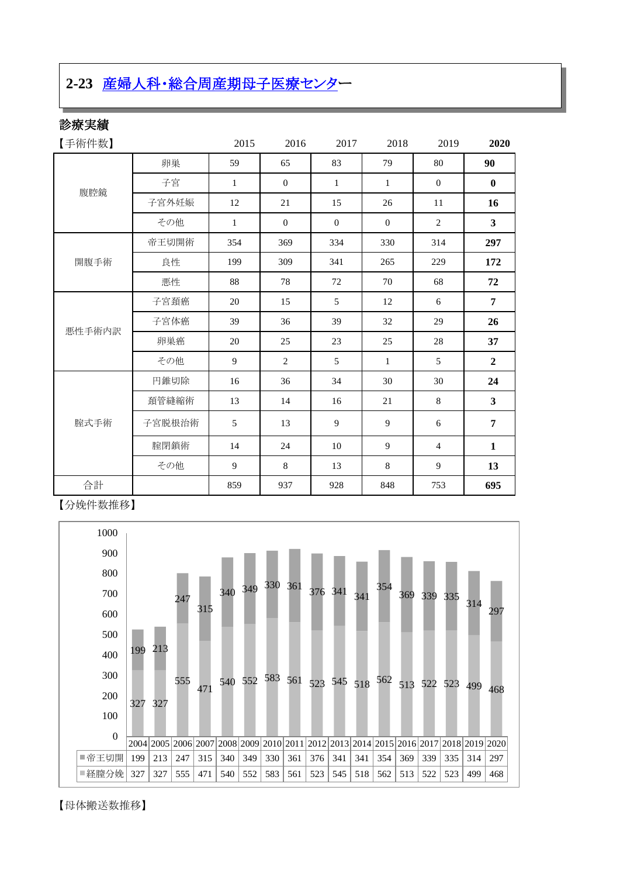# **2-23** [産婦人科・総合周産期母子医療センター](http://www.hosp-shizuoka.juntendo.ac.jp/consult/departments/og.html)

## 診療実績

| 【手術件数】 |        | 2015         | 2016           | 2017           | 2018           | 2019           | 2020                    |
|--------|--------|--------------|----------------|----------------|----------------|----------------|-------------------------|
| 腹腔鏡    | 卵巣     | 59           | 65             | 83             | 79             | 80             | 90                      |
|        | 子宮     | $\mathbf{1}$ | $\mathbf{0}$   | $\mathbf{1}$   | $\mathbf{1}$   | $\mathbf{0}$   | $\bf{0}$                |
|        | 子宫外妊娠  | 12           | 21             | 15             | 26             | 11             | 16                      |
|        | その他    | $\mathbf{1}$ | $\overline{0}$ | $\overline{0}$ | $\overline{0}$ | $\overline{2}$ | $\overline{\mathbf{3}}$ |
| 開腹手術   | 帝王切開術  | 354          | 369            | 334            | 330            | 314            | 297                     |
|        | 良性     | 199          | 309            | 341            | 265            | 229            | 172                     |
|        | 悪性     | 88           | 78             | 72             | 70             | 68             | 72                      |
| 悪性手術内訳 | 子宮頚癌   | 20           | 15             | 5              | 12             | 6              | $\overline{7}$          |
|        | 子宮体癌   | 39           | 36             | 39             | 32             | 29             | 26                      |
|        | 卵巣癌    | 20           | 25             | 23             | 25             | 28             | 37                      |
|        | その他    | 9            | 2              | 5              | 1              | 5              | $\overline{2}$          |
| 腟式手術   | 円錐切除   | 16           | 36             | 34             | 30             | 30             | 24                      |
|        | 頚管縫縮術  | 13           | 14             | 16             | 21             | $\,8\,$        | $\overline{\mathbf{3}}$ |
|        | 子宮脱根治術 | 5            | 13             | 9              | 9              | 6              | $\overline{7}$          |
|        | 腟閉鎖術   | 14           | 24             | 10             | 9              | $\overline{4}$ | $\mathbf{1}$            |
|        | その他    | 9            | 8              | 13             | $8\,$          | 9              | 13                      |
| 合計     |        | 859          | 937            | 928            | 848            | 753            | 695                     |

【分娩件数推移】



【母体搬送数推移】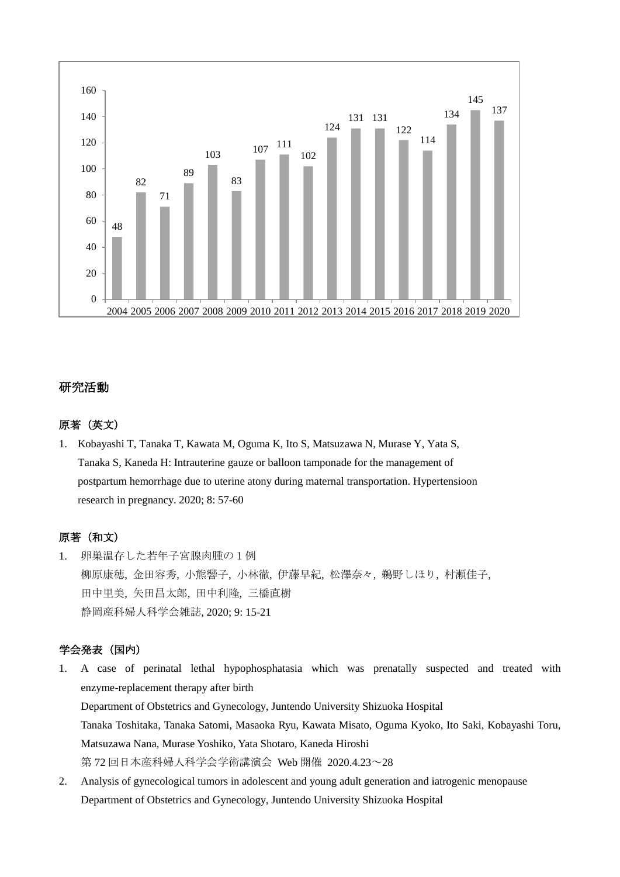

#### 研究活動

#### 原著(英文)

1. Kobayashi T, Tanaka T, Kawata M, Oguma K, Ito S, Matsuzawa N, Murase Y, Yata S, Tanaka S, Kaneda H: Intrauterine gauze or balloon tamponade for the management of postpartum hemorrhage due to uterine atony during maternal transportation. Hypertensioon research in pregnancy. 2020; 8: 57-60

#### 原著(和文)

1. 卵巣温存した若年子宮腺肉腫の1例 柳原康穂, 金田容秀, 小熊響子, 小林徹, 伊藤早紀, 松澤奈々, 鵜野しほり, 村瀬佳子, 田中里美, 矢田昌太郎, 田中利隆, 三橋直樹 静岡産科婦人科学会雑誌, 2020; 9: 15-21

#### 学会発表(国内)

1. A case of perinatal lethal hypophosphatasia which was prenatally suspected and treated with enzyme-replacement therapy after birth Department of Obstetrics and Gynecology, Juntendo University Shizuoka Hospital Tanaka Toshitaka, Tanaka Satomi, Masaoka Ryu, Kawata Misato, Oguma Kyoko, Ito Saki, Kobayashi Toru, Matsuzawa Nana, Murase Yoshiko, Yata Shotaro, Kaneda Hiroshi

第 72 回日本産科婦人科学会学術講演会 Web 開催 2020.4.23~28

2. Analysis of gynecological tumors in adolescent and young adult generation and iatrogenic menopause Department of Obstetrics and Gynecology, Juntendo University Shizuoka Hospital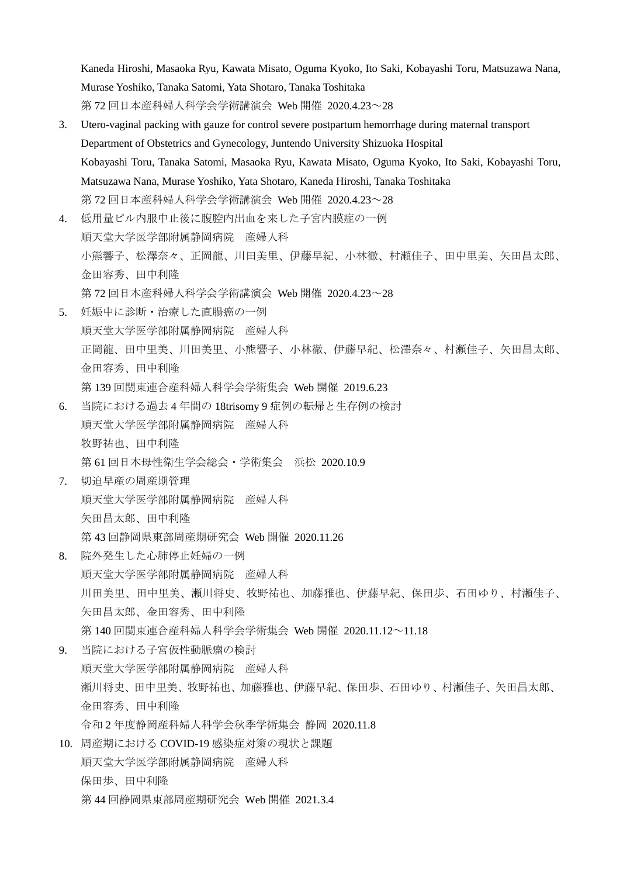Kaneda Hiroshi, Masaoka Ryu, Kawata Misato, Oguma Kyoko, Ito Saki, Kobayashi Toru, Matsuzawa Nana, Murase Yoshiko, Tanaka Satomi, Yata Shotaro, Tanaka Toshitaka 第 72 回日本産科婦人科学会学術講演会 Web 開催 2020.4.23~28

- 3. Utero-vaginal packing with gauze for control severe postpartum hemorrhage during maternal transport Department of Obstetrics and Gynecology, Juntendo University Shizuoka Hospital Kobayashi Toru, Tanaka Satomi, Masaoka Ryu, Kawata Misato, Oguma Kyoko, Ito Saki, Kobayashi Toru, Matsuzawa Nana, Murase Yoshiko, Yata Shotaro, Kaneda Hiroshi, Tanaka Toshitaka 第 72 回日本産科婦人科学会学術講演会 Web 開催 2020.4.23~28
- 4. 低用量ピル内服中止後に腹腔内出血を来した子宮内膜症の一例 順天堂大学医学部附属静岡病院 産婦人科 小熊響子、松澤奈々、正岡龍、川田美里、伊藤早紀、小林徹、村瀬佳子、田中里美、矢田昌太郎、 金田容秀、田中利隆 第 72 回日本産科婦人科学会学術講演会 Web 開催 2020.4.23~28
- 5. 妊娠中に診断・治療した直腸癌の一例 順天堂大学医学部附属静岡病院 産婦人科 正岡龍、田中里美、川田美里、小熊響子、小林徹、伊藤早紀、松澤奈々、村瀬佳子、矢田昌太郎、 金田容秀、田中利隆 第 139 回関東連合産科婦人科学会学術集会 Web 開催 2019.6.23
- 6. 当院における過去 4 年間の 18trisomy 9 症例の転帰と生存例の検討 順天堂大学医学部附属静岡病院 産婦人科 牧野祐也、田中利隆 第 61 回日本母性衛生学会総会・学術集会 浜松 2020.10.9
- 7. 切迫早産の周産期管理 順天堂大学医学部附属静岡病院 産婦人科 矢田昌太郎、田中利隆 第 43 回静岡県東部周産期研究会 Web 開催 2020.11.26
- 8. 院外発生した心肺停止妊婦の一例 順天堂大学医学部附属静岡病院 産婦人科 川田美里、田中里美、瀬川将史、牧野祐也、加藤雅也、伊藤早紀、保田歩、石田ゆり、村瀬佳子、 矢田昌太郎、金田容秀、田中利隆 第 140 回関東連合産科婦人科学会学術集会 Web 開催 2020.11.12~11.18
- 9. 当院における子宮仮性動脈瘤の検討 順天堂大学医学部附属静岡病院 産婦人科 瀬川将史、田中里美、牧野祐也、加藤雅也、伊藤早紀、保田歩、石田ゆり、村瀬佳子、矢田昌太郎、 金田容秀、田中利隆 令和 2 年度静岡産科婦人科学会秋季学術集会 静岡 2020.11.8 10. 周産期における COVID-19 感染症対策の現状と課題
- 順天堂大学医学部附属静岡病院 産婦人科 保田歩、田中利隆 第 44 回静岡県東部周産期研究会 Web 開催 2021.3.4